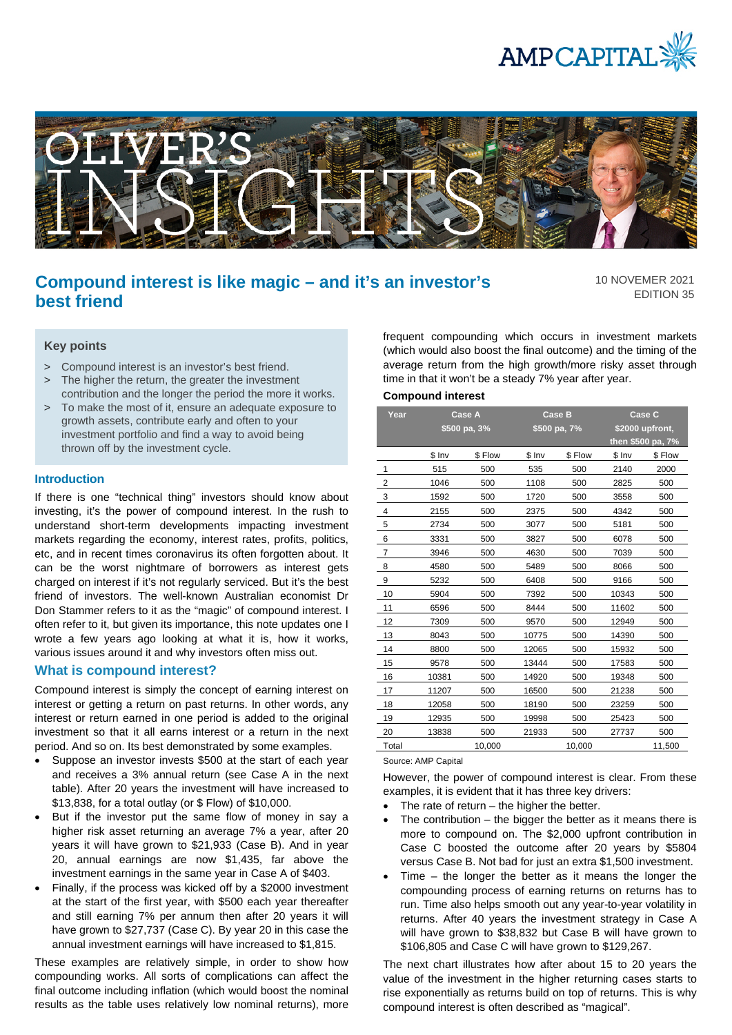



# **Compound interest is like magic – and it's an investor's best friend**

10 NOVEMER 2021 EDITION 35

## **Key points**

- > Compound interest is an investor's best friend.
- > The higher the return, the greater the investment contribution and the longer the period the more it works.
- > To make the most of it, ensure an adequate exposure to growth assets, contribute early and often to your investment portfolio and find a way to avoid being thrown off by the investment cycle.

## **Introduction**

If there is one "technical thing" investors should know about investing, it's the power of compound interest. In the rush to understand short-term developments impacting investment markets regarding the economy, interest rates, profits, politics, etc, and in recent times coronavirus its often forgotten about. It can be the worst nightmare of borrowers as interest gets charged on interest if it's not regularly serviced. But it's the best friend of investors. The well-known Australian economist Dr Don Stammer refers to it as the "magic" of compound interest. I often refer to it, but given its importance, this note updates one I wrote a few years ago looking at what it is, how it works, various issues around it and why investors often miss out.

# **What is compound interest?**

Compound interest is simply the concept of earning interest on interest or getting a return on past returns. In other words, any interest or return earned in one period is added to the original investment so that it all earns interest or a return in the next period. And so on. Its best demonstrated by some examples.

- Suppose an investor invests \$500 at the start of each year and receives a 3% annual return (see Case A in the next table). After 20 years the investment will have increased to \$13,838, for a total outlay (or \$ Flow) of \$10,000.
- But if the investor put the same flow of money in say a higher risk asset returning an average 7% a year, after 20 years it will have grown to \$21,933 (Case B). And in year 20, annual earnings are now \$1,435, far above the investment earnings in the same year in Case A of \$403.
- Finally, if the process was kicked off by a \$2000 investment at the start of the first year, with \$500 each year thereafter and still earning 7% per annum then after 20 years it will have grown to \$27,737 (Case C). By year 20 in this case the annual investment earnings will have increased to \$1,815.

These examples are relatively simple, in order to show how compounding works. All sorts of complications can affect the final outcome including inflation (which would boost the nominal results as the table uses relatively low nominal returns), more frequent compounding which occurs in investment markets (which would also boost the final outcome) and the timing of the average return from the high growth/more risky asset through time in that it won't be a steady 7% year after year.

# **Compound interest**

| Year           | Case A<br>\$500 pa, 3% |        | <b>Case B</b><br>\$500 pa, 7% |         | Case C<br>\$2000 upfront,<br>then \$500 pa, 7% |         |
|----------------|------------------------|--------|-------------------------------|---------|------------------------------------------------|---------|
|                | $$$ Inv                | \$Flow | $$$ Inv                       | \$ Flow | $$$ Inv                                        | \$ Flow |
| 1              | 515                    | 500    | 535                           | 500     | 2140                                           | 2000    |
| $\overline{2}$ | 1046                   | 500    | 1108                          | 500     | 2825                                           | 500     |
| 3              | 1592                   | 500    | 1720                          | 500     | 3558                                           | 500     |
| 4              | 2155                   | 500    | 2375                          | 500     | 4342                                           | 500     |
| 5              | 2734                   | 500    | 3077                          | 500     | 5181                                           | 500     |
| 6              | 3331                   | 500    | 3827                          | 500     | 6078                                           | 500     |
| $\overline{7}$ | 3946                   | 500    | 4630                          | 500     | 7039                                           | 500     |
| 8              | 4580                   | 500    | 5489                          | 500     | 8066                                           | 500     |
| 9              | 5232                   | 500    | 6408                          | 500     | 9166                                           | 500     |
| 10             | 5904                   | 500    | 7392                          | 500     | 10343                                          | 500     |
| 11             | 6596                   | 500    | 8444                          | 500     | 11602                                          | 500     |
| 12             | 7309                   | 500    | 9570                          | 500     | 12949                                          | 500     |
| 13             | 8043                   | 500    | 10775                         | 500     | 14390                                          | 500     |
| 14             | 8800                   | 500    | 12065                         | 500     | 15932                                          | 500     |
| 15             | 9578                   | 500    | 13444                         | 500     | 17583                                          | 500     |
| 16             | 10381                  | 500    | 14920                         | 500     | 19348                                          | 500     |
| 17             | 11207                  | 500    | 16500                         | 500     | 21238                                          | 500     |
| 18             | 12058                  | 500    | 18190                         | 500     | 23259                                          | 500     |
| 19             | 12935                  | 500    | 19998                         | 500     | 25423                                          | 500     |
| 20             | 13838                  | 500    | 21933                         | 500     | 27737                                          | 500     |
| Total          |                        | 10.000 |                               | 10,000  |                                                | 11.500  |

Source: AMP Capital

However, the power of compound interest is clear. From these examples, it is evident that it has three key drivers:

- The rate of return  $-$  the higher the better.
- The contribution  $-$  the bigger the better as it means there is more to compound on. The \$2,000 upfront contribution in Case C boosted the outcome after 20 years by \$5804 versus Case B. Not bad for just an extra \$1,500 investment.
- Time  $-$  the longer the better as it means the longer the compounding process of earning returns on returns has to run. Time also helps smooth out any year-to-year volatility in returns. After 40 years the investment strategy in Case A will have grown to \$38,832 but Case B will have grown to \$106,805 and Case C will have grown to \$129,267.

The next chart illustrates how after about 15 to 20 years the value of the investment in the higher returning cases starts to rise exponentially as returns build on top of returns. This is why compound interest is often described as "magical".